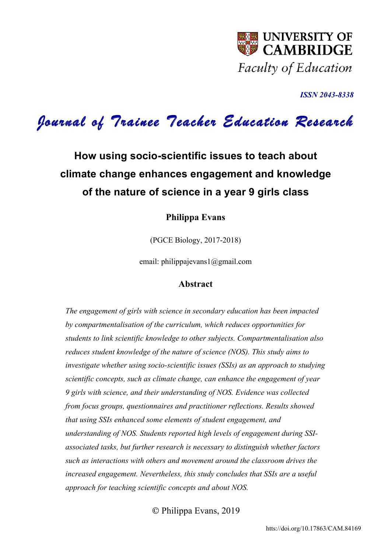

*ISSN 2043-8338* 

# *Journal of Trainee Teacher Education Research*

# **How using socio-scientific issues to teach about climate change enhances engagement and knowledge of the nature of science in a year 9 girls class**

# **Philippa Evans**

(PGCE Biology, 2017-2018)

email: philippajevans1@gmail.com

# **Abstract**

*The engagement of girls with science in secondary education has been impacted by compartmentalisation of the curriculum, which reduces opportunities for students to link scientific knowledge to other subjects. Compartmentalisation also reduces student knowledge of the nature of science (NOS). This study aims to investigate whether using socio-scientific issues (SSIs) as an approach to studying scientific concepts, such as climate change, can enhance the engagement of year 9 girls with science, and their understanding of NOS. Evidence was collected from focus groups, questionnaires and practitioner reflections. Results showed that using SSIs enhanced some elements of student engagement, and understanding of NOS. Students reported high levels of engagement during SSIassociated tasks, but further research is necessary to distinguish whether factors such as interactions with others and movement around the classroom drives the increased engagement. Nevertheless, this study concludes that SSIs are a useful approach for teaching scientific concepts and about NOS.* 

© Philippa Evans, 2019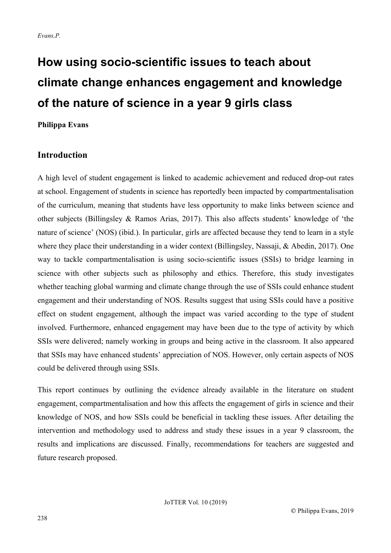# **How using socio-scientific issues to teach about climate change enhances engagement and knowledge of the nature of science in a year 9 girls class**

**Philippa Evans** 

# **Introduction**

A high level of student engagement is linked to academic achievement and reduced drop-out rates at school. Engagement of students in science has reportedly been impacted by compartmentalisation of the curriculum, meaning that students have less opportunity to make links between science and other subjects (Billingsley & Ramos Arias, 2017). This also affects students' knowledge of 'the nature of science' (NOS) (ibid.). In particular, girls are affected because they tend to learn in a style where they place their understanding in a wider context (Billingsley, Nassaji, & Abedin, 2017). One way to tackle compartmentalisation is using socio-scientific issues (SSIs) to bridge learning in science with other subjects such as philosophy and ethics. Therefore, this study investigates whether teaching global warming and climate change through the use of SSIs could enhance student engagement and their understanding of NOS. Results suggest that using SSIs could have a positive effect on student engagement, although the impact was varied according to the type of student involved. Furthermore, enhanced engagement may have been due to the type of activity by which SSIs were delivered; namely working in groups and being active in the classroom. It also appeared that SSIs may have enhanced students' appreciation of NOS. However, only certain aspects of NOS could be delivered through using SSIs.

This report continues by outlining the evidence already available in the literature on student engagement, compartmentalisation and how this affects the engagement of girls in science and their knowledge of NOS, and how SSIs could be beneficial in tackling these issues. After detailing the intervention and methodology used to address and study these issues in a year 9 classroom, the results and implications are discussed. Finally, recommendations for teachers are suggested and future research proposed.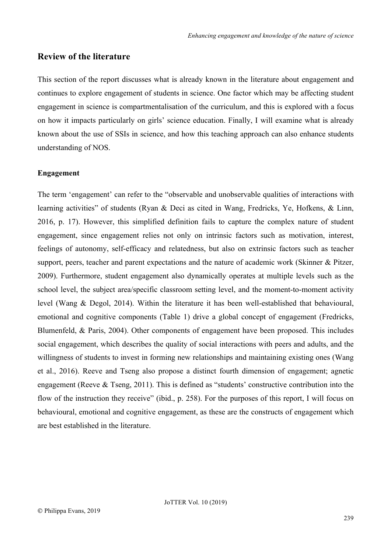# **Review of the literature**

This section of the report discusses what is already known in the literature about engagement and continues to explore engagement of students in science. One factor which may be affecting student engagement in science is compartmentalisation of the curriculum, and this is explored with a focus on how it impacts particularly on girls' science education. Finally, I will examine what is already known about the use of SSIs in science, and how this teaching approach can also enhance students understanding of NOS.

## **Engagement**

The term 'engagement' can refer to the "observable and unobservable qualities of interactions with learning activities" of students (Ryan & Deci as cited in Wang, Fredricks, Ye, Hofkens, & Linn, 2016, p. 17). However, this simplified definition fails to capture the complex nature of student engagement, since engagement relies not only on intrinsic factors such as motivation, interest, feelings of autonomy, self-efficacy and relatedness, but also on extrinsic factors such as teacher support, peers, teacher and parent expectations and the nature of academic work (Skinner & Pitzer, 2009). Furthermore, student engagement also dynamically operates at multiple levels such as the school level, the subject area/specific classroom setting level, and the moment-to-moment activity level (Wang & Degol, 2014). Within the literature it has been well-established that behavioural, emotional and cognitive components (Table 1) drive a global concept of engagement (Fredricks, Blumenfeld, & Paris, 2004). Other components of engagement have been proposed. This includes social engagement, which describes the quality of social interactions with peers and adults, and the willingness of students to invest in forming new relationships and maintaining existing ones (Wang et al., 2016). Reeve and Tseng also propose a distinct fourth dimension of engagement; agnetic engagement (Reeve & Tseng, 2011). This is defined as "students' constructive contribution into the flow of the instruction they receive" (ibid., p. 258). For the purposes of this report, I will focus on behavioural, emotional and cognitive engagement, as these are the constructs of engagement which are best established in the literature.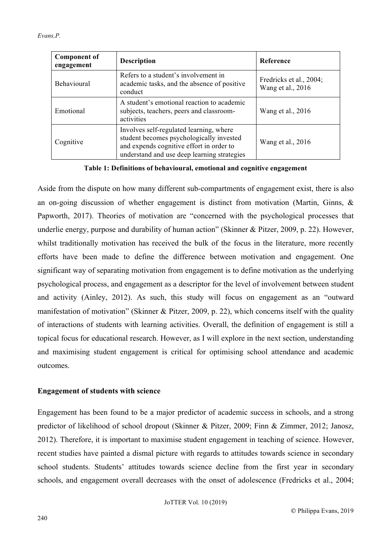| <b>Component of</b><br>engagement | <b>Description</b>                                                                                                                                                             | <b>Reference</b>                             |
|-----------------------------------|--------------------------------------------------------------------------------------------------------------------------------------------------------------------------------|----------------------------------------------|
| <b>Behavioural</b>                | Refers to a student's involvement in<br>academic tasks, and the absence of positive<br>conduct                                                                                 | Fredricks et al., 2004;<br>Wang et al., 2016 |
| Emotional                         | A student's emotional reaction to academic<br>subjects, teachers, peers and classroom-<br>activities                                                                           | Wang et al., 2016                            |
| Cognitive                         | Involves self-regulated learning, where<br>student becomes psychologically invested<br>and expends cognitive effort in order to<br>understand and use deep learning strategies | Wang et al., 2016                            |

**Table 1: Definitions of behavioural, emotional and cognitive engagement** 

Aside from the dispute on how many different sub-compartments of engagement exist, there is also an on-going discussion of whether engagement is distinct from motivation (Martin, Ginns, & Papworth, 2017). Theories of motivation are "concerned with the psychological processes that underlie energy, purpose and durability of human action" (Skinner & Pitzer, 2009, p. 22). However, whilst traditionally motivation has received the bulk of the focus in the literature, more recently efforts have been made to define the difference between motivation and engagement. One significant way of separating motivation from engagement is to define motivation as the underlying psychological process, and engagement as a descriptor for the level of involvement between student and activity (Ainley, 2012). As such, this study will focus on engagement as an "outward manifestation of motivation" (Skinner & Pitzer, 2009, p. 22), which concerns itself with the quality of interactions of students with learning activities. Overall, the definition of engagement is still a topical focus for educational research. However, as I will explore in the next section, understanding and maximising student engagement is critical for optimising school attendance and academic outcomes.

# **Engagement of students with science**

Engagement has been found to be a major predictor of academic success in schools, and a strong predictor of likelihood of school dropout (Skinner & Pitzer, 2009; Finn & Zimmer, 2012; Janosz, 2012). Therefore, it is important to maximise student engagement in teaching of science. However, recent studies have painted a dismal picture with regards to attitudes towards science in secondary school students. Students' attitudes towards science decline from the first year in secondary schools, and engagement overall decreases with the onset of adolescence (Fredricks et al., 2004;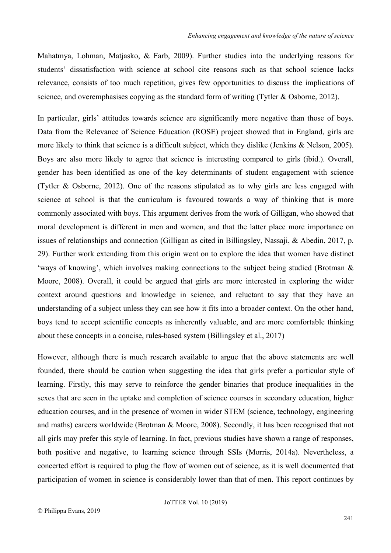Mahatmya, Lohman, Matjasko, & Farb, 2009). Further studies into the underlying reasons for students' dissatisfaction with science at school cite reasons such as that school science lacks relevance, consists of too much repetition, gives few opportunities to discuss the implications of science, and overemphasises copying as the standard form of writing (Tytler & Osborne, 2012).

In particular, girls' attitudes towards science are significantly more negative than those of boys. Data from the Relevance of Science Education (ROSE) project showed that in England, girls are more likely to think that science is a difficult subject, which they dislike (Jenkins & Nelson, 2005). Boys are also more likely to agree that science is interesting compared to girls (ibid.). Overall, gender has been identified as one of the key determinants of student engagement with science (Tytler & Osborne, 2012). One of the reasons stipulated as to why girls are less engaged with science at school is that the curriculum is favoured towards a way of thinking that is more commonly associated with boys. This argument derives from the work of Gilligan, who showed that moral development is different in men and women, and that the latter place more importance on issues of relationships and connection (Gilligan as cited in Billingsley, Nassaji, & Abedin, 2017, p. 29). Further work extending from this origin went on to explore the idea that women have distinct 'ways of knowing', which involves making connections to the subject being studied (Brotman & Moore, 2008). Overall, it could be argued that girls are more interested in exploring the wider context around questions and knowledge in science, and reluctant to say that they have an understanding of a subject unless they can see how it fits into a broader context. On the other hand, boys tend to accept scientific concepts as inherently valuable, and are more comfortable thinking about these concepts in a concise, rules-based system (Billingsley et al., 2017)

However, although there is much research available to argue that the above statements are well founded, there should be caution when suggesting the idea that girls prefer a particular style of learning. Firstly, this may serve to reinforce the gender binaries that produce inequalities in the sexes that are seen in the uptake and completion of science courses in secondary education, higher education courses, and in the presence of women in wider STEM (science, technology, engineering and maths) careers worldwide (Brotman & Moore, 2008). Secondly, it has been recognised that not all girls may prefer this style of learning. In fact, previous studies have shown a range of responses, both positive and negative, to learning science through SSIs (Morris, 2014a). Nevertheless, a concerted effort is required to plug the flow of women out of science, as it is well documented that participation of women in science is considerably lower than that of men. This report continues by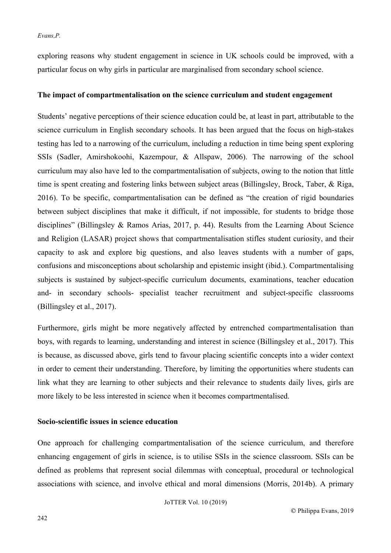exploring reasons why student engagement in science in UK schools could be improved, with a particular focus on why girls in particular are marginalised from secondary school science.

#### **The impact of compartmentalisation on the science curriculum and student engagement**

Students' negative perceptions of their science education could be, at least in part, attributable to the science curriculum in English secondary schools. It has been argued that the focus on high-stakes testing has led to a narrowing of the curriculum, including a reduction in time being spent exploring SSIs (Sadler, Amirshokoohi, Kazempour, & Allspaw, 2006). The narrowing of the school curriculum may also have led to the compartmentalisation of subjects, owing to the notion that little time is spent creating and fostering links between subject areas (Billingsley, Brock, Taber, & Riga, 2016). To be specific, compartmentalisation can be defined as "the creation of rigid boundaries between subject disciplines that make it difficult, if not impossible, for students to bridge those disciplines" (Billingsley & Ramos Arias, 2017, p. 44). Results from the Learning About Science and Religion (LASAR) project shows that compartmentalisation stifles student curiosity, and their capacity to ask and explore big questions, and also leaves students with a number of gaps, confusions and misconceptions about scholarship and epistemic insight (ibid.). Compartmentalising subjects is sustained by subject-specific curriculum documents, examinations, teacher education and- in secondary schools- specialist teacher recruitment and subject-specific classrooms (Billingsley et al., 2017).

Furthermore, girls might be more negatively affected by entrenched compartmentalisation than boys, with regards to learning, understanding and interest in science (Billingsley et al., 2017). This is because, as discussed above, girls tend to favour placing scientific concepts into a wider context in order to cement their understanding. Therefore, by limiting the opportunities where students can link what they are learning to other subjects and their relevance to students daily lives, girls are more likely to be less interested in science when it becomes compartmentalised.

# **Socio-scientific issues in science education**

One approach for challenging compartmentalisation of the science curriculum, and therefore enhancing engagement of girls in science, is to utilise SSIs in the science classroom. SSIs can be defined as problems that represent social dilemmas with conceptual, procedural or technological associations with science, and involve ethical and moral dimensions (Morris, 2014b). A primary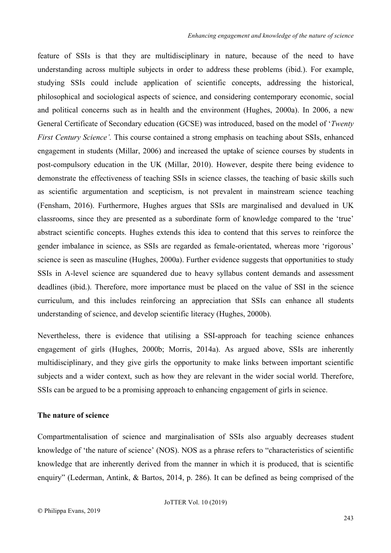feature of SSIs is that they are multidisciplinary in nature, because of the need to have understanding across multiple subjects in order to address these problems (ibid.). For example, studying SSIs could include application of scientific concepts, addressing the historical, philosophical and sociological aspects of science, and considering contemporary economic, social and political concerns such as in health and the environment (Hughes, 2000a). In 2006, a new General Certificate of Secondary education (GCSE) was introduced, based on the model of '*Twenty First Century Science'*. This course contained a strong emphasis on teaching about SSIs, enhanced engagement in students (Millar, 2006) and increased the uptake of science courses by students in post-compulsory education in the UK (Millar, 2010). However, despite there being evidence to demonstrate the effectiveness of teaching SSIs in science classes, the teaching of basic skills such as scientific argumentation and scepticism, is not prevalent in mainstream science teaching (Fensham, 2016). Furthermore, Hughes argues that SSIs are marginalised and devalued in UK classrooms, since they are presented as a subordinate form of knowledge compared to the 'true' abstract scientific concepts. Hughes extends this idea to contend that this serves to reinforce the gender imbalance in science, as SSIs are regarded as female-orientated, whereas more 'rigorous' science is seen as masculine (Hughes, 2000a). Further evidence suggests that opportunities to study SSIs in A-level science are squandered due to heavy syllabus content demands and assessment deadlines (ibid.). Therefore, more importance must be placed on the value of SSI in the science curriculum, and this includes reinforcing an appreciation that SSIs can enhance all students understanding of science, and develop scientific literacy (Hughes, 2000b).

Nevertheless, there is evidence that utilising a SSI-approach for teaching science enhances engagement of girls (Hughes, 2000b; Morris, 2014a). As argued above, SSIs are inherently multidisciplinary, and they give girls the opportunity to make links between important scientific subjects and a wider context, such as how they are relevant in the wider social world. Therefore, SSIs can be argued to be a promising approach to enhancing engagement of girls in science.

# **The nature of science**

Compartmentalisation of science and marginalisation of SSIs also arguably decreases student knowledge of 'the nature of science' (NOS). NOS as a phrase refers to "characteristics of scientific knowledge that are inherently derived from the manner in which it is produced, that is scientific enquiry" (Lederman, Antink, & Bartos, 2014, p. 286). It can be defined as being comprised of the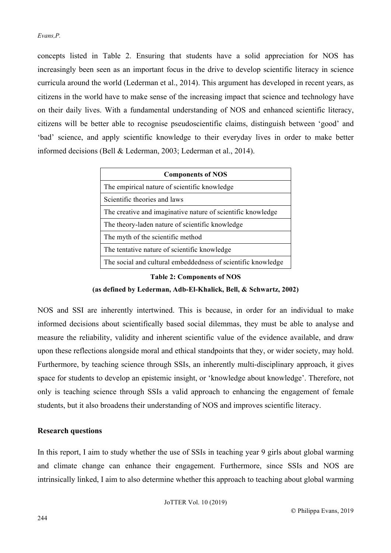concepts listed in Table 2. Ensuring that students have a solid appreciation for NOS has increasingly been seen as an important focus in the drive to develop scientific literacy in science curricula around the world (Lederman et al., 2014). This argument has developed in recent years, as citizens in the world have to make sense of the increasing impact that science and technology have on their daily lives. With a fundamental understanding of NOS and enhanced scientific literacy, citizens will be better able to recognise pseudoscientific claims, distinguish between 'good' and 'bad' science, and apply scientific knowledge to their everyday lives in order to make better informed decisions (Bell & Lederman, 2003; Lederman et al., 2014).

| <b>Components of NOS</b>                                     |
|--------------------------------------------------------------|
| The empirical nature of scientific knowledge                 |
| Scientific theories and laws                                 |
| The creative and imaginative nature of scientific knowledge  |
| The theory-laden nature of scientific knowledge              |
| The myth of the scientific method                            |
| The tentative nature of scientific knowledge                 |
| The social and cultural embeddedness of scientific knowledge |

**Table 2: Components of NOS**

**(as defined by Lederman, Adb-El-Khalick, Bell, & Schwartz, 2002)**

NOS and SSI are inherently intertwined. This is because, in order for an individual to make informed decisions about scientifically based social dilemmas, they must be able to analyse and measure the reliability, validity and inherent scientific value of the evidence available, and draw upon these reflections alongside moral and ethical standpoints that they, or wider society, may hold. Furthermore, by teaching science through SSIs, an inherently multi-disciplinary approach, it gives space for students to develop an epistemic insight, or 'knowledge about knowledge'. Therefore, not only is teaching science through SSIs a valid approach to enhancing the engagement of female students, but it also broadens their understanding of NOS and improves scientific literacy.

## **Research questions**

In this report, I aim to study whether the use of SSIs in teaching year 9 girls about global warming and climate change can enhance their engagement. Furthermore, since SSIs and NOS are intrinsically linked, I aim to also determine whether this approach to teaching about global warming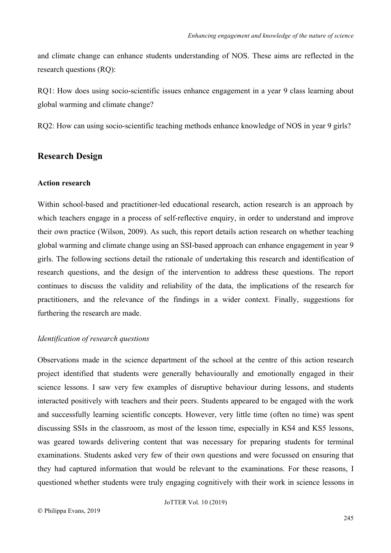and climate change can enhance students understanding of NOS. These aims are reflected in the research questions (RQ):

RQ1: How does using socio-scientific issues enhance engagement in a year 9 class learning about global warming and climate change?

RQ2: How can using socio-scientific teaching methods enhance knowledge of NOS in year 9 girls?

# **Research Design**

# **Action research**

Within school-based and practitioner-led educational research, action research is an approach by which teachers engage in a process of self-reflective enquiry, in order to understand and improve their own practice (Wilson, 2009). As such, this report details action research on whether teaching global warming and climate change using an SSI-based approach can enhance engagement in year 9 girls. The following sections detail the rationale of undertaking this research and identification of research questions, and the design of the intervention to address these questions. The report continues to discuss the validity and reliability of the data, the implications of the research for practitioners, and the relevance of the findings in a wider context. Finally, suggestions for furthering the research are made.

#### *Identification of research questions*

Observations made in the science department of the school at the centre of this action research project identified that students were generally behaviourally and emotionally engaged in their science lessons. I saw very few examples of disruptive behaviour during lessons, and students interacted positively with teachers and their peers. Students appeared to be engaged with the work and successfully learning scientific concepts. However, very little time (often no time) was spent discussing SSIs in the classroom, as most of the lesson time, especially in KS4 and KS5 lessons, was geared towards delivering content that was necessary for preparing students for terminal examinations. Students asked very few of their own questions and were focussed on ensuring that they had captured information that would be relevant to the examinations. For these reasons, I questioned whether students were truly engaging cognitively with their work in science lessons in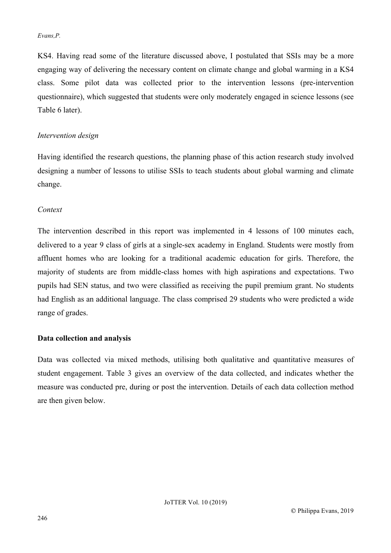KS4. Having read some of the literature discussed above, I postulated that SSIs may be a more engaging way of delivering the necessary content on climate change and global warming in a KS4 class. Some pilot data was collected prior to the intervention lessons (pre-intervention questionnaire), which suggested that students were only moderately engaged in science lessons (see Table 6 later).

# *Intervention design*

Having identified the research questions, the planning phase of this action research study involved designing a number of lessons to utilise SSIs to teach students about global warming and climate change.

# *Context*

The intervention described in this report was implemented in 4 lessons of 100 minutes each, delivered to a year 9 class of girls at a single-sex academy in England. Students were mostly from affluent homes who are looking for a traditional academic education for girls. Therefore, the majority of students are from middle-class homes with high aspirations and expectations. Two pupils had SEN status, and two were classified as receiving the pupil premium grant. No students had English as an additional language. The class comprised 29 students who were predicted a wide range of grades.

## **Data collection and analysis**

Data was collected via mixed methods, utilising both qualitative and quantitative measures of student engagement. Table 3 gives an overview of the data collected, and indicates whether the measure was conducted pre, during or post the intervention. Details of each data collection method are then given below.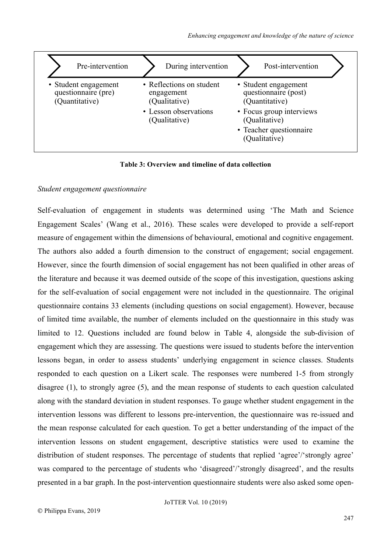| Pre-intervention                                              | During intervention                                                                               | Post-intervention                                                                                                                                       |
|---------------------------------------------------------------|---------------------------------------------------------------------------------------------------|---------------------------------------------------------------------------------------------------------------------------------------------------------|
| • Student engagement<br>questionnaire (pre)<br>(Quantitative) | • Reflections on student<br>engagement<br>(Qualitative)<br>• Lesson observations<br>(Qualitative) | • Student engagement<br>questionnaire (post)<br>(Quantitative)<br>• Focus group interviews<br>(Qualitative)<br>• Teacher questionnaire<br>(Qualitative) |

**Table 3: Overview and timeline of data collection**

## *Student engagement questionnaire*

Self-evaluation of engagement in students was determined using 'The Math and Science Engagement Scales' (Wang et al., 2016). These scales were developed to provide a self-report measure of engagement within the dimensions of behavioural, emotional and cognitive engagement. The authors also added a fourth dimension to the construct of engagement; social engagement. However, since the fourth dimension of social engagement has not been qualified in other areas of the literature and because it was deemed outside of the scope of this investigation, questions asking for the self-evaluation of social engagement were not included in the questionnaire. The original questionnaire contains 33 elements (including questions on social engagement). However, because of limited time available, the number of elements included on the questionnaire in this study was limited to 12. Questions included are found below in Table 4, alongside the sub-division of engagement which they are assessing. The questions were issued to students before the intervention lessons began, in order to assess students' underlying engagement in science classes. Students responded to each question on a Likert scale. The responses were numbered 1-5 from strongly disagree (1), to strongly agree (5), and the mean response of students to each question calculated along with the standard deviation in student responses. To gauge whether student engagement in the intervention lessons was different to lessons pre-intervention, the questionnaire was re-issued and the mean response calculated for each question. To get a better understanding of the impact of the intervention lessons on student engagement, descriptive statistics were used to examine the distribution of student responses. The percentage of students that replied 'agree'/'strongly agree' was compared to the percentage of students who 'disagreed'/'strongly disagreed', and the results presented in a bar graph. In the post-intervention questionnaire students were also asked some open-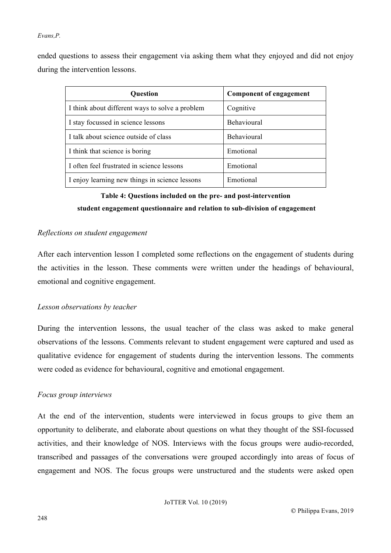ended questions to assess their engagement via asking them what they enjoyed and did not enjoy during the intervention lessons.

| <b>Question</b>                                 | <b>Component of engagement</b> |
|-------------------------------------------------|--------------------------------|
| I think about different ways to solve a problem | Cognitive                      |
| I stay focussed in science lessons              | <b>Behavioural</b>             |
| I talk about science outside of class           | Behavioural                    |
| I think that science is boring                  | Emotional                      |
| I often feel frustrated in science lessons      | Emotional                      |
| I enjoy learning new things in science lessons  | Emotional                      |

# **Table 4: Questions included on the pre- and post-intervention student engagement questionnaire and relation to sub-division of engagement**

# *Reflections on student engagement*

After each intervention lesson I completed some reflections on the engagement of students during the activities in the lesson. These comments were written under the headings of behavioural, emotional and cognitive engagement.

## *Lesson observations by teacher*

During the intervention lessons, the usual teacher of the class was asked to make general observations of the lessons. Comments relevant to student engagement were captured and used as qualitative evidence for engagement of students during the intervention lessons. The comments were coded as evidence for behavioural, cognitive and emotional engagement.

## *Focus group interviews*

At the end of the intervention, students were interviewed in focus groups to give them an opportunity to deliberate, and elaborate about questions on what they thought of the SSI-focussed activities, and their knowledge of NOS. Interviews with the focus groups were audio-recorded, transcribed and passages of the conversations were grouped accordingly into areas of focus of engagement and NOS. The focus groups were unstructured and the students were asked open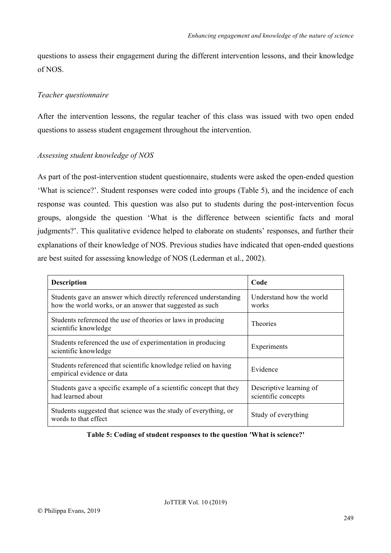questions to assess their engagement during the different intervention lessons, and their knowledge of NOS.

## *Teacher questionnaire*

After the intervention lessons, the regular teacher of this class was issued with two open ended questions to assess student engagement throughout the intervention.

# *Assessing student knowledge of NOS*

As part of the post-intervention student questionnaire, students were asked the open-ended question 'What is science?'. Student responses were coded into groups (Table 5), and the incidence of each response was counted. This question was also put to students during the post-intervention focus groups, alongside the question 'What is the difference between scientific facts and moral judgments?'. This qualitative evidence helped to elaborate on students' responses, and further their explanations of their knowledge of NOS. Previous studies have indicated that open-ended questions are best suited for assessing knowledge of NOS (Lederman et al., 2002).

| <b>Description</b>                                                                                                                                               | Code                                           |
|------------------------------------------------------------------------------------------------------------------------------------------------------------------|------------------------------------------------|
| Understand how the world<br>Students gave an answer which directly referenced understanding<br>how the world works, or an answer that suggested as such<br>works |                                                |
| Students referenced the use of theories or laws in producing<br><b>Theories</b><br>scientific knowledge                                                          |                                                |
| Students referenced the use of experimentation in producing<br>scientific knowledge                                                                              | Experiments                                    |
| Students referenced that scientific knowledge relied on having<br>Evidence<br>empirical evidence or data                                                         |                                                |
| Students gave a specific example of a scientific concept that they<br>had learned about                                                                          | Descriptive learning of<br>scientific concepts |
| Students suggested that science was the study of everything, or<br>words to that effect                                                                          | Study of everything                            |

**Table 5: Coding of student responses to the question 'What is science?'**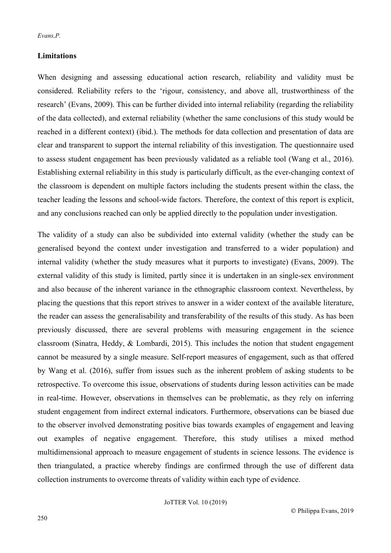# **Limitations**

When designing and assessing educational action research, reliability and validity must be considered. Reliability refers to the 'rigour, consistency, and above all, trustworthiness of the research' (Evans, 2009). This can be further divided into internal reliability (regarding the reliability of the data collected), and external reliability (whether the same conclusions of this study would be reached in a different context) (ibid.). The methods for data collection and presentation of data are clear and transparent to support the internal reliability of this investigation. The questionnaire used to assess student engagement has been previously validated as a reliable tool (Wang et al., 2016). Establishing external reliability in this study is particularly difficult, as the ever-changing context of the classroom is dependent on multiple factors including the students present within the class, the teacher leading the lessons and school-wide factors. Therefore, the context of this report is explicit, and any conclusions reached can only be applied directly to the population under investigation.

The validity of a study can also be subdivided into external validity (whether the study can be generalised beyond the context under investigation and transferred to a wider population) and internal validity (whether the study measures what it purports to investigate) (Evans, 2009). The external validity of this study is limited, partly since it is undertaken in an single-sex environment and also because of the inherent variance in the ethnographic classroom context. Nevertheless, by placing the questions that this report strives to answer in a wider context of the available literature, the reader can assess the generalisability and transferability of the results of this study. As has been previously discussed, there are several problems with measuring engagement in the science classroom (Sinatra, Heddy, & Lombardi, 2015). This includes the notion that student engagement cannot be measured by a single measure. Self-report measures of engagement, such as that offered by Wang et al. (2016), suffer from issues such as the inherent problem of asking students to be retrospective. To overcome this issue, observations of students during lesson activities can be made in real-time. However, observations in themselves can be problematic, as they rely on inferring student engagement from indirect external indicators. Furthermore, observations can be biased due to the observer involved demonstrating positive bias towards examples of engagement and leaving out examples of negative engagement. Therefore, this study utilises a mixed method multidimensional approach to measure engagement of students in science lessons. The evidence is then triangulated, a practice whereby findings are confirmed through the use of different data collection instruments to overcome threats of validity within each type of evidence.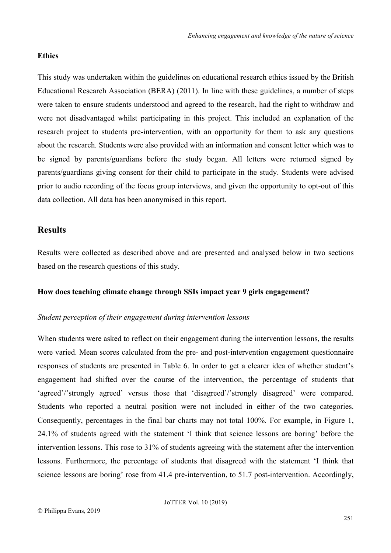## **Ethics**

This study was undertaken within the guidelines on educational research ethics issued by the British Educational Research Association (BERA) (2011). In line with these guidelines, a number of steps were taken to ensure students understood and agreed to the research, had the right to withdraw and were not disadvantaged whilst participating in this project. This included an explanation of the research project to students pre-intervention, with an opportunity for them to ask any questions about the research. Students were also provided with an information and consent letter which was to be signed by parents/guardians before the study began. All letters were returned signed by parents/guardians giving consent for their child to participate in the study. Students were advised prior to audio recording of the focus group interviews, and given the opportunity to opt-out of this data collection. All data has been anonymised in this report.

# **Results**

Results were collected as described above and are presented and analysed below in two sections based on the research questions of this study.

## **How does teaching climate change through SSIs impact year 9 girls engagement?**

#### *Student perception of their engagement during intervention lessons*

When students were asked to reflect on their engagement during the intervention lessons, the results were varied. Mean scores calculated from the pre- and post-intervention engagement questionnaire responses of students are presented in Table 6. In order to get a clearer idea of whether student's engagement had shifted over the course of the intervention, the percentage of students that 'agreed'/'strongly agreed' versus those that 'disagreed'/'strongly disagreed' were compared. Students who reported a neutral position were not included in either of the two categories. Consequently, percentages in the final bar charts may not total 100%. For example, in Figure 1, 24.1% of students agreed with the statement 'I think that science lessons are boring' before the intervention lessons. This rose to 31% of students agreeing with the statement after the intervention lessons. Furthermore, the percentage of students that disagreed with the statement 'I think that science lessons are boring' rose from 41.4 pre-intervention, to 51.7 post-intervention. Accordingly,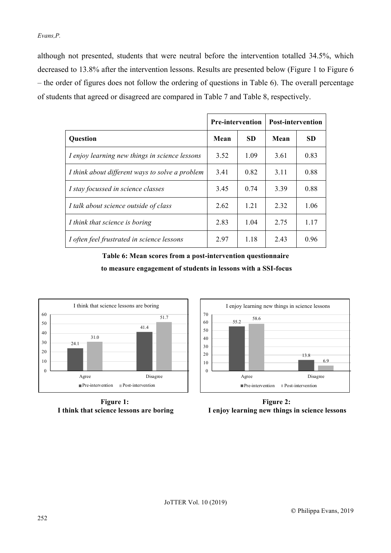although not presented, students that were neutral before the intervention totalled 34.5%, which decreased to 13.8% after the intervention lessons. Results are presented below (Figure 1 to Figure 6 – the order of figures does not follow the ordering of questions in Table 6). The overall percentage of students that agreed or disagreed are compared in Table 7 and Table 8, respectively.

|                                                 | <b>Pre-intervention</b> |           | <b>Post-intervention</b> |           |
|-------------------------------------------------|-------------------------|-----------|--------------------------|-----------|
| <b>Question</b>                                 | Mean                    | <b>SD</b> | Mean                     | <b>SD</b> |
| I enjoy learning new things in science lessons  | 3.52                    | 1.09      | 3.61                     | 0.83      |
| I think about different ways to solve a problem | 3.41                    | 0.82      | 3.11                     | 0.88      |
| I stay focussed in science classes              | 3.45                    | 0.74      | 3.39                     | 0.88      |
| I talk about science outside of class           | 2.62                    | 1.21      | 2.32                     | 1.06      |
| I think that science is boring                  | 2.83                    | 1.04      | 2.75                     | 1 1 7     |
| I often feel frustrated in science lessons      | 2.97                    | 1.18      | 2.43                     | 0.96      |

**Table 6: Mean scores from a post-intervention questionnaire to measure engagement of students in lessons with a SSI-focus**



**Figure 1: I think that science lessons are boring**



**Figure 2: I enjoy learning new things in science lessons**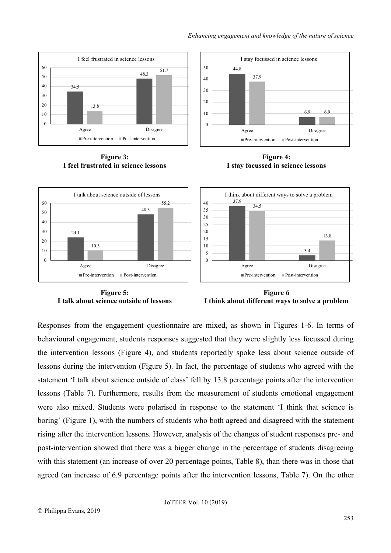

**Figure 3: I feel frustrated in science lessons**









Responses from the engagement questionnaire are mixed, as shown in Figures 1-6. In terms of behavioural engagement, students responses suggested that they were slightly less focussed during the intervention lessons (Figure 4), and students reportedly spoke less about science outside of lessons during the intervention (Figure 5). In fact, the percentage of students who agreed with the statement 'I talk about science outside of class' fell by 13.8 percentage points after the intervention lessons (Table 7). Furthermore, results from the measurement of students emotional engagement were also mixed. Students were polarised in response to the statement 'I think that science is boring' (Figure 1), with the numbers of students who both agreed and disagreed with the statement rising after the intervention lessons. However, analysis of the changes of student responses pre- and post-intervention showed that there was a bigger change in the percentage of students disagreeing with this statement (an increase of over 20 percentage points, Table 8), than there was in those that agreed (an increase of 6.9 percentage points after the intervention lessons, Table 7). On the other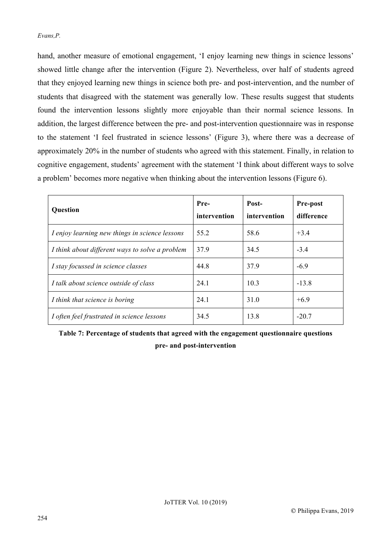hand, another measure of emotional engagement, 'I enjoy learning new things in science lessons' showed little change after the intervention (Figure 2). Nevertheless, over half of students agreed that they enjoyed learning new things in science both pre- and post-intervention, and the number of students that disagreed with the statement was generally low. These results suggest that students found the intervention lessons slightly more enjoyable than their normal science lessons. In addition, the largest difference between the pre- and post-intervention questionnaire was in response to the statement 'I feel frustrated in science lessons' (Figure 3), where there was a decrease of approximately 20% in the number of students who agreed with this statement. Finally, in relation to cognitive engagement, students' agreement with the statement 'I think about different ways to solve a problem' becomes more negative when thinking about the intervention lessons (Figure 6).

| Question                                        | Pre-<br>intervention | Post-<br>intervention | <b>Pre-post</b><br>difference |
|-------------------------------------------------|----------------------|-----------------------|-------------------------------|
| I enjoy learning new things in science lessons  | 55.2                 | 58.6                  | $+3.4$                        |
| I think about different ways to solve a problem | 37.9                 | 34.5                  | $-3.4$                        |
| I stay focussed in science classes              | 44.8                 | 37.9                  | $-6.9$                        |
| I talk about science outside of class           | 24.1                 | 10.3                  | $-13.8$                       |
| I think that science is boring                  | 24.1                 | 31.0                  | $+6.9$                        |
| I often feel frustrated in science lessons      | 34.5                 | 13.8                  | $-20.7$                       |

**Table 7: Percentage of students that agreed with the engagement questionnaire questions pre- and post-intervention**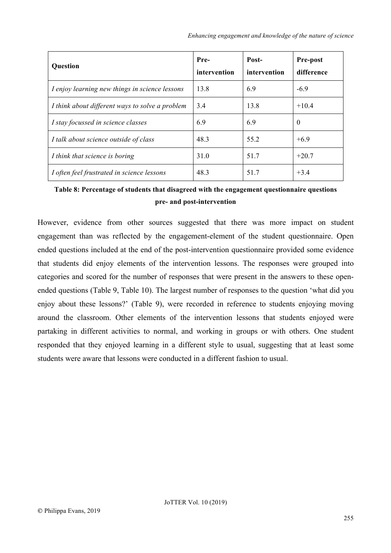| <b>Question</b>                                 | Pre-<br>intervention | Post-<br>intervention | Pre-post<br>difference |
|-------------------------------------------------|----------------------|-----------------------|------------------------|
| I enjoy learning new things in science lessons  | 13.8                 | 6.9                   | $-6.9$                 |
| I think about different ways to solve a problem | 3.4                  | 13.8                  | $+10.4$                |
| I stay focussed in science classes              | 6.9                  | 6.9                   | $\theta$               |
| I talk about science outside of class           | 48.3                 | 55.2                  | $+6.9$                 |
| I think that science is boring                  | 31.0                 | 51.7                  | $+20.7$                |
| I often feel frustrated in science lessons      | 48.3                 | 51.7                  | $+3.4$                 |

**Table 8: Percentage of students that disagreed with the engagement questionnaire questions pre- and post-intervention**

However, evidence from other sources suggested that there was more impact on student engagement than was reflected by the engagement-element of the student questionnaire. Open ended questions included at the end of the post-intervention questionnaire provided some evidence that students did enjoy elements of the intervention lessons. The responses were grouped into categories and scored for the number of responses that were present in the answers to these openended questions (Table 9, Table 10). The largest number of responses to the question 'what did you enjoy about these lessons?' (Table 9), were recorded in reference to students enjoying moving around the classroom. Other elements of the intervention lessons that students enjoyed were partaking in different activities to normal, and working in groups or with others. One student responded that they enjoyed learning in a different style to usual, suggesting that at least some students were aware that lessons were conducted in a different fashion to usual.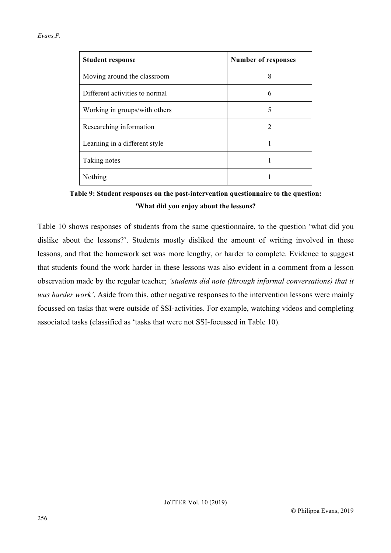| <b>Student response</b>        | <b>Number of responses</b> |
|--------------------------------|----------------------------|
| Moving around the classroom    | 8                          |
| Different activities to normal | 6                          |
| Working in groups/with others  | 5                          |
| Researching information        | 2                          |
| Learning in a different style  |                            |
| Taking notes                   |                            |
| Nothing                        |                            |

**Table 9: Student responses on the post-intervention questionnaire to the question: 'What did you enjoy about the lessons?**

Table 10 shows responses of students from the same questionnaire, to the question 'what did you dislike about the lessons?'. Students mostly disliked the amount of writing involved in these lessons, and that the homework set was more lengthy, or harder to complete. Evidence to suggest that students found the work harder in these lessons was also evident in a comment from a lesson observation made by the regular teacher; *'students did note (through informal conversations) that it was harder work'*. Aside from this, other negative responses to the intervention lessons were mainly focussed on tasks that were outside of SSI-activities. For example, watching videos and completing associated tasks (classified as 'tasks that were not SSI-focussed in Table 10).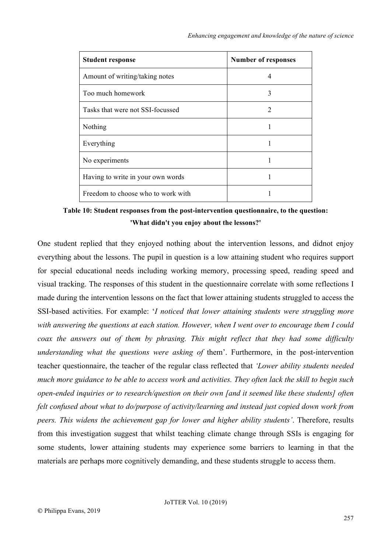| <b>Student response</b>            | <b>Number of responses</b>  |
|------------------------------------|-----------------------------|
| Amount of writing/taking notes     | 4                           |
| Too much homework                  | 3                           |
| Tasks that were not SSI-focussed   | $\mathcal{D}_{\mathcal{L}}$ |
| Nothing                            | 1                           |
| Everything                         | 1                           |
| No experiments                     |                             |
| Having to write in your own words  |                             |
| Freedom to choose who to work with |                             |

**Table 10: Student responses from the post-intervention questionnaire, to the question: 'What didn't you enjoy about the lessons?'**

One student replied that they enjoyed nothing about the intervention lessons, and didnot enjoy everything about the lessons. The pupil in question is a low attaining student who requires support for special educational needs including working memory, processing speed, reading speed and visual tracking. The responses of this student in the questionnaire correlate with some reflections I made during the intervention lessons on the fact that lower attaining students struggled to access the SSI-based activities. For example: '*I noticed that lower attaining students were struggling more with answering the questions at each station. However, when I went over to encourage them I could coax the answers out of them by phrasing. This might reflect that they had some difficulty understanding what the questions were asking of them'*. Furthermore, in the post-intervention teacher questionnaire, the teacher of the regular class reflected that *'Lower ability students needed much more guidance to be able to access work and activities. They often lack the skill to begin such open-ended inquiries or to research/question on their own [and it seemed like these students] often felt confused about what to do/purpose of activity/learning and instead just copied down work from peers. This widens the achievement gap for lower and higher ability students'*. Therefore, results from this investigation suggest that whilst teaching climate change through SSIs is engaging for some students, lower attaining students may experience some barriers to learning in that the materials are perhaps more cognitively demanding, and these students struggle to access them.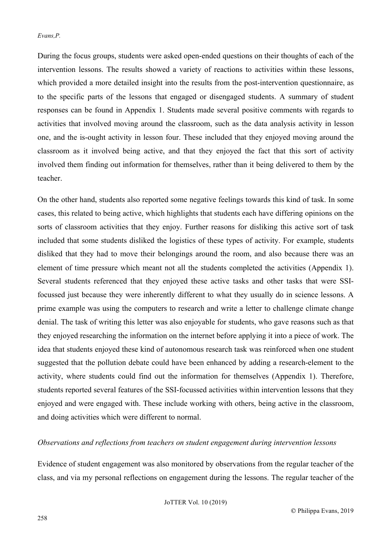During the focus groups, students were asked open-ended questions on their thoughts of each of the intervention lessons. The results showed a variety of reactions to activities within these lessons, which provided a more detailed insight into the results from the post-intervention questionnaire, as to the specific parts of the lessons that engaged or disengaged students. A summary of student responses can be found in Appendix 1. Students made several positive comments with regards to activities that involved moving around the classroom, such as the data analysis activity in lesson one, and the is-ought activity in lesson four. These included that they enjoyed moving around the classroom as it involved being active, and that they enjoyed the fact that this sort of activity involved them finding out information for themselves, rather than it being delivered to them by the teacher.

On the other hand, students also reported some negative feelings towards this kind of task. In some cases, this related to being active, which highlights that students each have differing opinions on the sorts of classroom activities that they enjoy. Further reasons for disliking this active sort of task included that some students disliked the logistics of these types of activity. For example, students disliked that they had to move their belongings around the room, and also because there was an element of time pressure which meant not all the students completed the activities (Appendix 1). Several students referenced that they enjoyed these active tasks and other tasks that were SSIfocussed just because they were inherently different to what they usually do in science lessons. A prime example was using the computers to research and write a letter to challenge climate change denial. The task of writing this letter was also enjoyable for students, who gave reasons such as that they enjoyed researching the information on the internet before applying it into a piece of work. The idea that students enjoyed these kind of autonomous research task was reinforced when one student suggested that the pollution debate could have been enhanced by adding a research-element to the activity, where students could find out the information for themselves (Appendix 1). Therefore, students reported several features of the SSI-focussed activities within intervention lessons that they enjoyed and were engaged with. These include working with others, being active in the classroom, and doing activities which were different to normal.

#### *Observations and reflections from teachers on student engagement during intervention lessons*

Evidence of student engagement was also monitored by observations from the regular teacher of the class, and via my personal reflections on engagement during the lessons. The regular teacher of the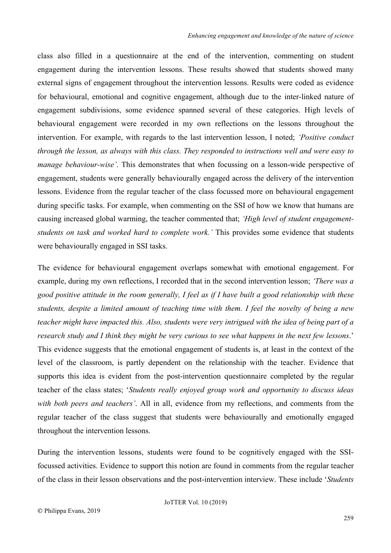class also filled in a questionnaire at the end of the intervention, commenting on student engagement during the intervention lessons. These results showed that students showed many external signs of engagement throughout the intervention lessons. Results were coded as evidence for behavioural, emotional and cognitive engagement, although due to the inter-linked nature of engagement subdivisions, some evidence spanned several of these categories. High levels of behavioural engagement were recorded in my own reflections on the lessons throughout the intervention. For example, with regards to the last intervention lesson, I noted; *'Positive conduct through the lesson, as always with this class. They responded to instructions well and were easy to manage behaviour-wise'*. This demonstrates that when focussing on a lesson-wide perspective of engagement, students were generally behaviourally engaged across the delivery of the intervention lessons. Evidence from the regular teacher of the class focussed more on behavioural engagement during specific tasks. For example, when commenting on the SSI of how we know that humans are causing increased global warming, the teacher commented that; *'High level of student engagementstudents on task and worked hard to complete work.'* This provides some evidence that students were behaviourally engaged in SSI tasks.

The evidence for behavioural engagement overlaps somewhat with emotional engagement. For example, during my own reflections, I recorded that in the second intervention lesson; *'There was a good positive attitude in the room generally, I feel as if I have built a good relationship with these students, despite a limited amount of teaching time with them. I feel the novelty of being a new teacher might have impacted this. Also, students were very intrigued with the idea of being part of a research study and I think they might be very curious to see what happens in the next few lessons*.' This evidence suggests that the emotional engagement of students is, at least in the context of the level of the classroom, is partly dependent on the relationship with the teacher. Evidence that supports this idea is evident from the post-intervention questionnaire completed by the regular teacher of the class states; '*Students really enjoyed group work and opportunity to discuss ideas with both peers and teachers'*. All in all, evidence from my reflections, and comments from the regular teacher of the class suggest that students were behaviourally and emotionally engaged throughout the intervention lessons.

During the intervention lessons, students were found to be cognitively engaged with the SSIfocussed activities. Evidence to support this notion are found in comments from the regular teacher of the class in their lesson observations and the post-intervention interview. These include '*Students*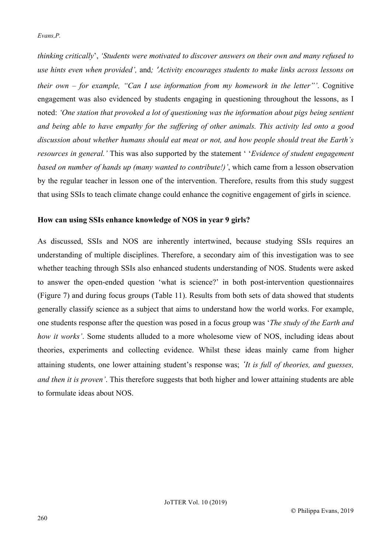*thinking critically*', *'Students were motivated to discover answers on their own and many refused to use hints even when provided',* and*; 'Activity encourages students to make links across lessons on their own – for example, "Can I use information from my homework in the letter"'*. Cognitive engagement was also evidenced by students engaging in questioning throughout the lessons, as I noted: *'One station that provoked a lot of questioning was the information about pigs being sentient and being able to have empathy for the suffering of other animals. This activity led onto a good discussion about whether humans should eat meat or not, and how people should treat the Earth's resources in general.'* This was also supported by the statement ' '*Evidence of student engagement based on number of hands up (many wanted to contribute!)'*, which came from a lesson observation by the regular teacher in lesson one of the intervention. Therefore, results from this study suggest that using SSIs to teach climate change could enhance the cognitive engagement of girls in science.

## **How can using SSIs enhance knowledge of NOS in year 9 girls?**

As discussed, SSIs and NOS are inherently intertwined, because studying SSIs requires an understanding of multiple disciplines. Therefore, a secondary aim of this investigation was to see whether teaching through SSIs also enhanced students understanding of NOS. Students were asked to answer the open-ended question 'what is science?' in both post-intervention questionnaires (Figure 7) and during focus groups (Table 11). Results from both sets of data showed that students generally classify science as a subject that aims to understand how the world works. For example, one students response after the question was posed in a focus group was '*The study of the Earth and how it works'*. Some students alluded to a more wholesome view of NOS, including ideas about theories, experiments and collecting evidence. Whilst these ideas mainly came from higher attaining students, one lower attaining student's response was; *'It is full of theories, and guesses, and then it is proven'*. This therefore suggests that both higher and lower attaining students are able to formulate ideas about NOS.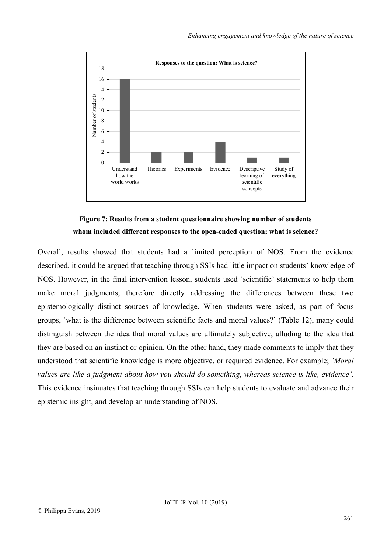

# **Figure 7: Results from a student questionnaire showing number of students whom included different responses to the open-ended question; what is science?**

Overall, results showed that students had a limited perception of NOS. From the evidence described, it could be argued that teaching through SSIs had little impact on students' knowledge of NOS. However, in the final intervention lesson, students used 'scientific' statements to help them make moral judgments, therefore directly addressing the differences between these two epistemologically distinct sources of knowledge. When students were asked, as part of focus groups, 'what is the difference between scientific facts and moral values?' (Table 12), many could distinguish between the idea that moral values are ultimately subjective, alluding to the idea that they are based on an instinct or opinion. On the other hand, they made comments to imply that they understood that scientific knowledge is more objective, or required evidence. For example; *'Moral values are like a judgment about how you should do something, whereas science is like, evidence'.* This evidence insinuates that teaching through SSIs can help students to evaluate and advance their epistemic insight, and develop an understanding of NOS.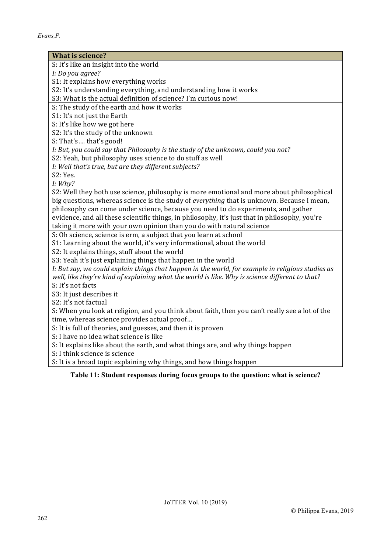| <b>What is science?</b>                                                                           |
|---------------------------------------------------------------------------------------------------|
| S: It's like an insight into the world                                                            |
| I: Do you agree?                                                                                  |
| S1: It explains how everything works                                                              |
| S2: It's understanding everything, and understanding how it works                                 |
| S3: What is the actual definition of science? I'm curious now!                                    |
| S: The study of the earth and how it works                                                        |
| S1: It's not just the Earth                                                                       |
| S: It's like how we got here                                                                      |
| S2: It's the study of the unknown                                                                 |
| S: That's that's good!                                                                            |
| I: But, you could say that Philosophy is the study of the unknown, could you not?                 |
| S2: Yeah, but philosophy uses science to do stuff as well                                         |
| I: Well that's true, but are they different subjects?                                             |
| S2: Yes.                                                                                          |
| I: Why?                                                                                           |
| S2: Well they both use science, philosophy is more emotional and more about philosophical         |
| big questions, whereas science is the study of everything that is unknown. Because I mean,        |
| philosophy can come under science, because you need to do experiments, and gather                 |
| evidence, and all these scientific things, in philosophy, it's just that in philosophy, you're    |
| taking it more with your own opinion than you do with natural science                             |
| S: Oh science, science is erm, a subject that you learn at school                                 |
| S1: Learning about the world, it's very informational, about the world                            |
| S2: It explains things, stuff about the world                                                     |
| S3: Yeah it's just explaining things that happen in the world                                     |
| I: But say, we could explain things that happen in the world, for example in religious studies as |
| well, like they're kind of explaining what the world is like. Why is science different to that?   |
| S: It's not facts                                                                                 |
| S3: It just describes it                                                                          |
| S2: It's not factual                                                                              |
| S: When you look at religion, and you think about faith, then you can't really see a lot of the   |
| time, whereas science provides actual proof                                                       |
| S: It is full of theories, and guesses, and then it is proven                                     |
| S: I have no idea what science is like                                                            |
| S: It explains like about the earth, and what things are, and why things happen                   |
| S: I think science is science                                                                     |
| S: It is a broad topic explaining why things, and how things happen                               |

# **Table 11: Student responses during focus groups to the question: what is science?**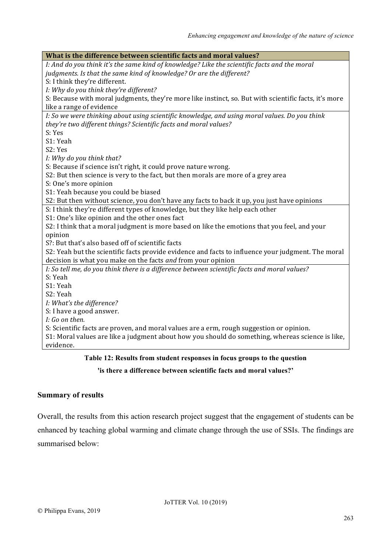| What is the difference between scientific facts and moral values?                                     |
|-------------------------------------------------------------------------------------------------------|
| I: And do you think it's the same kind of knowledge? Like the scientific facts and the moral          |
| judgments. Is that the same kind of knowledge? Or are the different?                                  |
| S: I think they're different.                                                                         |
| I: Why do you think they're different?                                                                |
| S: Because with moral judgments, they're more like instinct, so. But with scientific facts, it's more |
| like a range of evidence                                                                              |
| I: So we were thinking about using scientific knowledge, and using moral values. Do you think         |
| they're two different things? Scientific facts and moral values?                                      |
| S: Yes                                                                                                |
| S1: Yeah                                                                                              |
| S2: Yes                                                                                               |
| I: Why do you think that?                                                                             |
| S: Because if science isn't right, it could prove nature wrong.                                       |
| S2: But then science is very to the fact, but then morals are more of a grey area                     |
| S: One's more opinion                                                                                 |
| S1: Yeah because you could be biased                                                                  |
| S2: But then without science, you don't have any facts to back it up, you just have opinions          |
| S: I think they're different types of knowledge, but they like help each other                        |
| S1: One's like opinion and the other ones fact                                                        |
| S2: I think that a moral judgment is more based on like the emotions that you feel, and your          |
| opinion                                                                                               |
| S?: But that's also based off of scientific facts                                                     |
| S2: Yeah but the scientific facts provide evidence and facts to influence your judgment. The moral    |
| decision is what you make on the facts and from your opinion                                          |
| I: So tell me, do you think there is a difference between scientific facts and moral values?          |
| S: Yeah                                                                                               |
| S1: Yeah                                                                                              |
| S2: Yeah                                                                                              |
| I: What's the difference?                                                                             |
| S: I have a good answer.                                                                              |
| I: Go on then.                                                                                        |
| S: Scientific facts are proven, and moral values are a erm, rough suggestion or opinion.              |
| S1: Moral values are like a judgment about how you should do something, whereas science is like,      |
| evidence.                                                                                             |
| Toble 12. Desults from student responses in feeus groups to the question                              |

# **Table 12: Results from student responses in focus groups to the question**

**'is there a difference between scientific facts and moral values?'**

# **Summary of results**

Overall, the results from this action research project suggest that the engagement of students can be enhanced by teaching global warming and climate change through the use of SSIs. The findings are summarised below: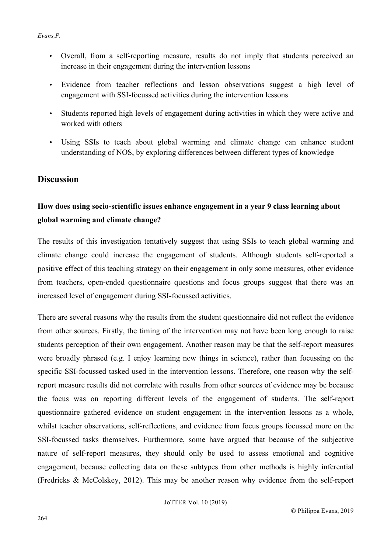- Overall, from a self-reporting measure, results do not imply that students perceived an increase in their engagement during the intervention lessons
- Evidence from teacher reflections and lesson observations suggest a high level of engagement with SSI-focussed activities during the intervention lessons
- Students reported high levels of engagement during activities in which they were active and worked with others
- Using SSIs to teach about global warming and climate change can enhance student understanding of NOS, by exploring differences between different types of knowledge

# **Discussion**

# **How does using socio-scientific issues enhance engagement in a year 9 class learning about global warming and climate change?**

The results of this investigation tentatively suggest that using SSIs to teach global warming and climate change could increase the engagement of students. Although students self-reported a positive effect of this teaching strategy on their engagement in only some measures, other evidence from teachers, open-ended questionnaire questions and focus groups suggest that there was an increased level of engagement during SSI-focussed activities.

There are several reasons why the results from the student questionnaire did not reflect the evidence from other sources. Firstly, the timing of the intervention may not have been long enough to raise students perception of their own engagement. Another reason may be that the self-report measures were broadly phrased (e.g. I enjoy learning new things in science), rather than focussing on the specific SSI-focussed tasked used in the intervention lessons. Therefore, one reason why the selfreport measure results did not correlate with results from other sources of evidence may be because the focus was on reporting different levels of the engagement of students. The self-report questionnaire gathered evidence on student engagement in the intervention lessons as a whole, whilst teacher observations, self-reflections, and evidence from focus groups focussed more on the SSI-focussed tasks themselves. Furthermore, some have argued that because of the subjective nature of self-report measures, they should only be used to assess emotional and cognitive engagement, because collecting data on these subtypes from other methods is highly inferential (Fredricks & McColskey, 2012). This may be another reason why evidence from the self-report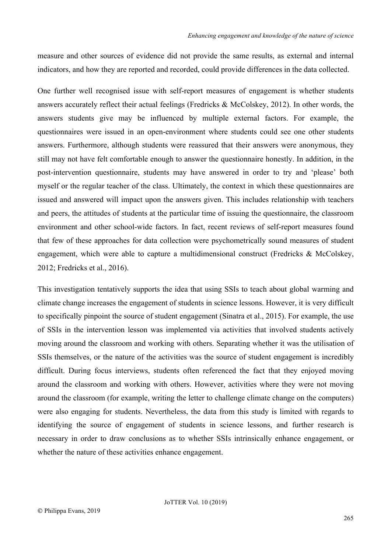measure and other sources of evidence did not provide the same results, as external and internal indicators, and how they are reported and recorded, could provide differences in the data collected.

One further well recognised issue with self-report measures of engagement is whether students answers accurately reflect their actual feelings (Fredricks & McColskey, 2012). In other words, the answers students give may be influenced by multiple external factors. For example, the questionnaires were issued in an open-environment where students could see one other students answers. Furthermore, although students were reassured that their answers were anonymous, they still may not have felt comfortable enough to answer the questionnaire honestly. In addition, in the post-intervention questionnaire, students may have answered in order to try and 'please' both myself or the regular teacher of the class. Ultimately, the context in which these questionnaires are issued and answered will impact upon the answers given. This includes relationship with teachers and peers, the attitudes of students at the particular time of issuing the questionnaire, the classroom environment and other school-wide factors. In fact, recent reviews of self-report measures found that few of these approaches for data collection were psychometrically sound measures of student engagement, which were able to capture a multidimensional construct (Fredricks  $\&$  McColskey, 2012; Fredricks et al., 2016).

This investigation tentatively supports the idea that using SSIs to teach about global warming and climate change increases the engagement of students in science lessons. However, it is very difficult to specifically pinpoint the source of student engagement (Sinatra et al., 2015). For example, the use of SSIs in the intervention lesson was implemented via activities that involved students actively moving around the classroom and working with others. Separating whether it was the utilisation of SSIs themselves, or the nature of the activities was the source of student engagement is incredibly difficult. During focus interviews, students often referenced the fact that they enjoyed moving around the classroom and working with others. However, activities where they were not moving around the classroom (for example, writing the letter to challenge climate change on the computers) were also engaging for students. Nevertheless, the data from this study is limited with regards to identifying the source of engagement of students in science lessons, and further research is necessary in order to draw conclusions as to whether SSIs intrinsically enhance engagement, or whether the nature of these activities enhance engagement.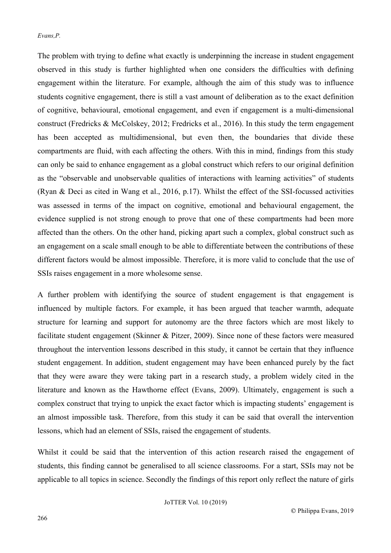The problem with trying to define what exactly is underpinning the increase in student engagement observed in this study is further highlighted when one considers the difficulties with defining engagement within the literature. For example, although the aim of this study was to influence students cognitive engagement, there is still a vast amount of deliberation as to the exact definition of cognitive, behavioural, emotional engagement, and even if engagement is a multi-dimensional construct (Fredricks & McColskey, 2012; Fredricks et al., 2016). In this study the term engagement has been accepted as multidimensional, but even then, the boundaries that divide these compartments are fluid, with each affecting the others. With this in mind, findings from this study can only be said to enhance engagement as a global construct which refers to our original definition as the "observable and unobservable qualities of interactions with learning activities" of students (Ryan & Deci as cited in Wang et al., 2016, p.17). Whilst the effect of the SSI-focussed activities was assessed in terms of the impact on cognitive, emotional and behavioural engagement, the evidence supplied is not strong enough to prove that one of these compartments had been more affected than the others. On the other hand, picking apart such a complex, global construct such as an engagement on a scale small enough to be able to differentiate between the contributions of these different factors would be almost impossible. Therefore, it is more valid to conclude that the use of SSIs raises engagement in a more wholesome sense.

A further problem with identifying the source of student engagement is that engagement is influenced by multiple factors. For example, it has been argued that teacher warmth, adequate structure for learning and support for autonomy are the three factors which are most likely to facilitate student engagement (Skinner & Pitzer, 2009). Since none of these factors were measured throughout the intervention lessons described in this study, it cannot be certain that they influence student engagement. In addition, student engagement may have been enhanced purely by the fact that they were aware they were taking part in a research study, a problem widely cited in the literature and known as the Hawthorne effect (Evans, 2009). Ultimately, engagement is such a complex construct that trying to unpick the exact factor which is impacting students' engagement is an almost impossible task. Therefore, from this study it can be said that overall the intervention lessons, which had an element of SSIs, raised the engagement of students.

Whilst it could be said that the intervention of this action research raised the engagement of students, this finding cannot be generalised to all science classrooms. For a start, SSIs may not be applicable to all topics in science. Secondly the findings of this report only reflect the nature of girls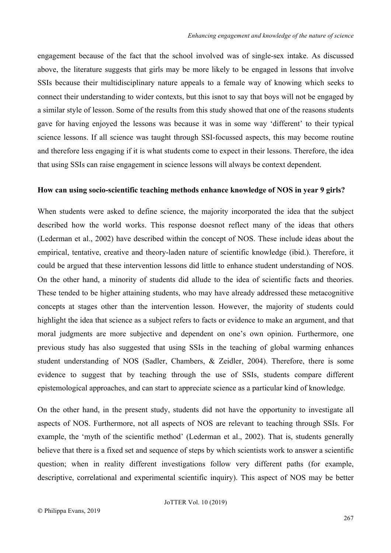engagement because of the fact that the school involved was of single-sex intake. As discussed above, the literature suggests that girls may be more likely to be engaged in lessons that involve SSIs because their multidisciplinary nature appeals to a female way of knowing which seeks to connect their understanding to wider contexts, but this isnot to say that boys will not be engaged by a similar style of lesson. Some of the results from this study showed that one of the reasons students gave for having enjoyed the lessons was because it was in some way 'different' to their typical science lessons. If all science was taught through SSI-focussed aspects, this may become routine and therefore less engaging if it is what students come to expect in their lessons. Therefore, the idea that using SSIs can raise engagement in science lessons will always be context dependent.

#### **How can using socio-scientific teaching methods enhance knowledge of NOS in year 9 girls?**

When students were asked to define science, the majority incorporated the idea that the subject described how the world works. This response doesnot reflect many of the ideas that others (Lederman et al., 2002) have described within the concept of NOS. These include ideas about the empirical, tentative, creative and theory-laden nature of scientific knowledge (ibid.). Therefore, it could be argued that these intervention lessons did little to enhance student understanding of NOS. On the other hand, a minority of students did allude to the idea of scientific facts and theories. These tended to be higher attaining students, who may have already addressed these metacognitive concepts at stages other than the intervention lesson. However, the majority of students could highlight the idea that science as a subject refers to facts or evidence to make an argument, and that moral judgments are more subjective and dependent on one's own opinion. Furthermore, one previous study has also suggested that using SSIs in the teaching of global warming enhances student understanding of NOS (Sadler, Chambers, & Zeidler, 2004). Therefore, there is some evidence to suggest that by teaching through the use of SSIs, students compare different epistemological approaches, and can start to appreciate science as a particular kind of knowledge.

On the other hand, in the present study, students did not have the opportunity to investigate all aspects of NOS. Furthermore, not all aspects of NOS are relevant to teaching through SSIs. For example, the 'myth of the scientific method' (Lederman et al., 2002). That is, students generally believe that there is a fixed set and sequence of steps by which scientists work to answer a scientific question; when in reality different investigations follow very different paths (for example, descriptive, correlational and experimental scientific inquiry). This aspect of NOS may be better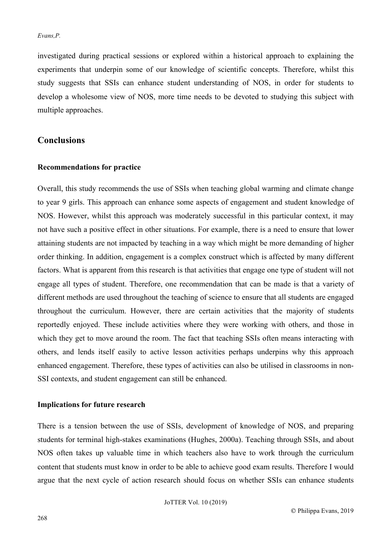investigated during practical sessions or explored within a historical approach to explaining the experiments that underpin some of our knowledge of scientific concepts. Therefore, whilst this study suggests that SSIs can enhance student understanding of NOS, in order for students to develop a wholesome view of NOS, more time needs to be devoted to studying this subject with multiple approaches.

# **Conclusions**

#### **Recommendations for practice**

Overall, this study recommends the use of SSIs when teaching global warming and climate change to year 9 girls. This approach can enhance some aspects of engagement and student knowledge of NOS. However, whilst this approach was moderately successful in this particular context, it may not have such a positive effect in other situations. For example, there is a need to ensure that lower attaining students are not impacted by teaching in a way which might be more demanding of higher order thinking. In addition, engagement is a complex construct which is affected by many different factors. What is apparent from this research is that activities that engage one type of student will not engage all types of student. Therefore, one recommendation that can be made is that a variety of different methods are used throughout the teaching of science to ensure that all students are engaged throughout the curriculum. However, there are certain activities that the majority of students reportedly enjoyed. These include activities where they were working with others, and those in which they get to move around the room. The fact that teaching SSIs often means interacting with others, and lends itself easily to active lesson activities perhaps underpins why this approach enhanced engagement. Therefore, these types of activities can also be utilised in classrooms in non-SSI contexts, and student engagement can still be enhanced.

## **Implications for future research**

There is a tension between the use of SSIs, development of knowledge of NOS, and preparing students for terminal high-stakes examinations (Hughes, 2000a). Teaching through SSIs, and about NOS often takes up valuable time in which teachers also have to work through the curriculum content that students must know in order to be able to achieve good exam results. Therefore I would argue that the next cycle of action research should focus on whether SSIs can enhance students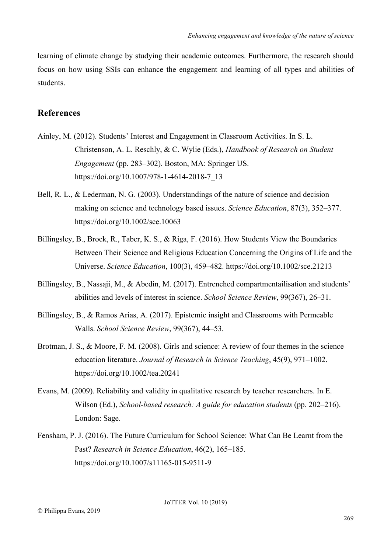learning of climate change by studying their academic outcomes. Furthermore, the research should focus on how using SSIs can enhance the engagement and learning of all types and abilities of students.

# **References**

- Ainley, M. (2012). Students' Interest and Engagement in Classroom Activities. In S. L. Christenson, A. L. Reschly, & C. Wylie (Eds.), *Handbook of Research on Student Engagement* (pp. 283–302). Boston, MA: Springer US. https://doi.org/10.1007/978-1-4614-2018-7\_13
- Bell, R. L., & Lederman, N. G. (2003). Understandings of the nature of science and decision making on science and technology based issues. *Science Education*, 87(3), 352–377. https://doi.org/10.1002/sce.10063
- Billingsley, B., Brock, R., Taber, K. S., & Riga, F. (2016). How Students View the Boundaries Between Their Science and Religious Education Concerning the Origins of Life and the Universe. *Science Education*, 100(3), 459–482. https://doi.org/10.1002/sce.21213
- Billingsley, B., Nassaji, M., & Abedin, M. (2017). Entrenched compartmentailisation and students' abilities and levels of interest in science. *School Science Review*, 99(367), 26–31.
- Billingsley, B., & Ramos Arias, A. (2017). Epistemic insight and Classrooms with Permeable Walls. *School Science Review*, 99(367), 44–53.
- Brotman, J. S., & Moore, F. M. (2008). Girls and science: A review of four themes in the science education literature. *Journal of Research in Science Teaching*, 45(9), 971–1002. https://doi.org/10.1002/tea.20241
- Evans, M. (2009). Reliability and validity in qualitative research by teacher researchers. In E. Wilson (Ed.), *School-based research: A guide for education students* (pp. 202–216). London: Sage.
- Fensham, P. J. (2016). The Future Curriculum for School Science: What Can Be Learnt from the Past? *Research in Science Education*, 46(2), 165–185. https://doi.org/10.1007/s11165-015-9511-9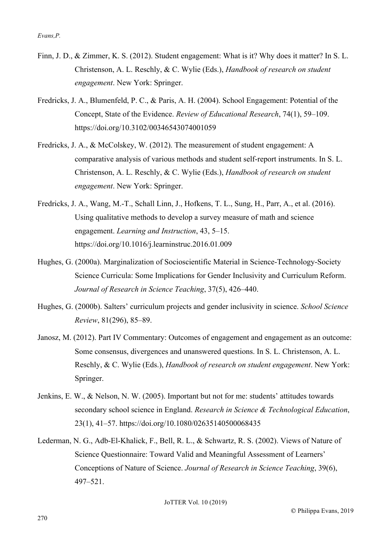- Finn, J. D., & Zimmer, K. S. (2012). Student engagement: What is it? Why does it matter? In S. L. Christenson, A. L. Reschly, & C. Wylie (Eds.), *Handbook of research on student engagement*. New York: Springer.
- Fredricks, J. A., Blumenfeld, P. C., & Paris, A. H. (2004). School Engagement: Potential of the Concept, State of the Evidence. *Review of Educational Research*, 74(1), 59–109. https://doi.org/10.3102/00346543074001059
- Fredricks, J. A., & McColskey, W. (2012). The measurement of student engagement: A comparative analysis of various methods and student self-report instruments. In S. L. Christenson, A. L. Reschly, & C. Wylie (Eds.), *Handbook of research on student engagement*. New York: Springer.
- Fredricks, J. A., Wang, M.-T., Schall Linn, J., Hofkens, T. L., Sung, H., Parr, A., et al. (2016). Using qualitative methods to develop a survey measure of math and science engagement. *Learning and Instruction*, 43, 5–15. https://doi.org/10.1016/j.learninstruc.2016.01.009
- Hughes, G. (2000a). Marginalization of Socioscientific Material in Science-Technology-Society Science Curricula: Some Implications for Gender Inclusivity and Curriculum Reform. *Journal of Research in Science Teaching*, 37(5), 426–440.
- Hughes, G. (2000b). Salters' curriculum projects and gender inclusivity in science. *School Science Review*, 81(296), 85–89.
- Janosz, M. (2012). Part IV Commentary: Outcomes of engagement and engagement as an outcome: Some consensus, divergences and unanswered questions. In S. L. Christenson, A. L. Reschly, & C. Wylie (Eds.), *Handbook of research on student engagement*. New York: Springer.
- Jenkins, E. W., & Nelson, N. W. (2005). Important but not for me: students' attitudes towards secondary school science in England. *Research in Science & Technological Education*, 23(1), 41–57. https://doi.org/10.1080/02635140500068435
- Lederman, N. G., Adb-El-Khalick, F., Bell, R. L., & Schwartz, R. S. (2002). Views of Nature of Science Questionnaire: Toward Valid and Meaningful Assessment of Learners' Conceptions of Nature of Science. *Journal of Research in Science Teaching*, 39(6), 497–521.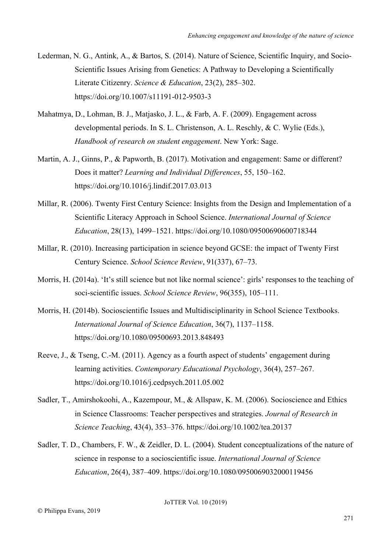- Lederman, N. G., Antink, A., & Bartos, S. (2014). Nature of Science, Scientific Inquiry, and Socio-Scientific Issues Arising from Genetics: A Pathway to Developing a Scientifically Literate Citizenry. *Science & Education*, 23(2), 285–302. https://doi.org/10.1007/s11191-012-9503-3
- Mahatmya, D., Lohman, B. J., Matjasko, J. L., & Farb, A. F. (2009). Engagement across developmental periods. In S. L. Christenson, A. L. Reschly, & C. Wylie (Eds.), *Handbook of research on student engagement*. New York: Sage.
- Martin, A. J., Ginns, P., & Papworth, B. (2017). Motivation and engagement: Same or different? Does it matter? *Learning and Individual Differences*, 55, 150–162. https://doi.org/10.1016/j.lindif.2017.03.013
- Millar, R. (2006). Twenty First Century Science: Insights from the Design and Implementation of a Scientific Literacy Approach in School Science. *International Journal of Science Education*, 28(13), 1499–1521. https://doi.org/10.1080/09500690600718344
- Millar, R. (2010). Increasing participation in science beyond GCSE: the impact of Twenty First Century Science. *School Science Review*, 91(337), 67–73.
- Morris, H. (2014a). 'It's still science but not like normal science': girls' responses to the teaching of soci-scientific issues. *School Science Review*, 96(355), 105–111.
- Morris, H. (2014b). Socioscientific Issues and Multidisciplinarity in School Science Textbooks. *International Journal of Science Education*, 36(7), 1137–1158. https://doi.org/10.1080/09500693.2013.848493
- Reeve, J., & Tseng, C.-M. (2011). Agency as a fourth aspect of students' engagement during learning activities. *Contemporary Educational Psychology*, 36(4), 257–267. https://doi.org/10.1016/j.cedpsych.2011.05.002
- Sadler, T., Amirshokoohi, A., Kazempour, M., & Allspaw, K. M. (2006). Socioscience and Ethics in Science Classrooms: Teacher perspectives and strategies. *Journal of Research in Science Teaching*, 43(4), 353–376. https://doi.org/10.1002/tea.20137
- Sadler, T. D., Chambers, F. W., & Zeidler, D. L. (2004). Student conceptualizations of the nature of science in response to a socioscientific issue. *International Journal of Science Education*, 26(4), 387–409. https://doi.org/10.1080/0950069032000119456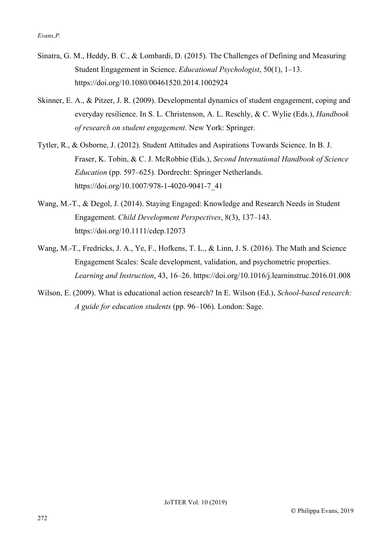- Sinatra, G. M., Heddy, B. C., & Lombardi, D. (2015). The Challenges of Defining and Measuring Student Engagement in Science. *Educational Psychologist*, 50(1), 1–13. https://doi.org/10.1080/00461520.2014.1002924
- Skinner, E. A., & Pitzer, J. R. (2009). Developmental dynamics of student engagement, coping and everyday resilience. In S. L. Christenson, A. L. Reschly, & C. Wylie (Eds.), *Handbook of research on student engagement*. New York: Springer.
- Tytler, R., & Osborne, J. (2012). Student Attitudes and Aspirations Towards Science. In B. J. Fraser, K. Tobin, & C. J. McRobbie (Eds.), *Second International Handbook of Science Education* (pp. 597–625). Dordrecht: Springer Netherlands. https://doi.org/10.1007/978-1-4020-9041-7\_41
- Wang, M.-T., & Degol, J. (2014). Staying Engaged: Knowledge and Research Needs in Student Engagement. *Child Development Perspectives*, 8(3), 137–143. https://doi.org/10.1111/cdep.12073
- Wang, M.-T., Fredricks, J. A., Ye, F., Hofkens, T. L., & Linn, J. S. (2016). The Math and Science Engagement Scales: Scale development, validation, and psychometric properties. *Learning and Instruction*, 43, 16–26. https://doi.org/10.1016/j.learninstruc.2016.01.008
- Wilson, E. (2009). What is educational action research? In E. Wilson (Ed.), *School-based research: A guide for education students* (pp. 96–106). London: Sage.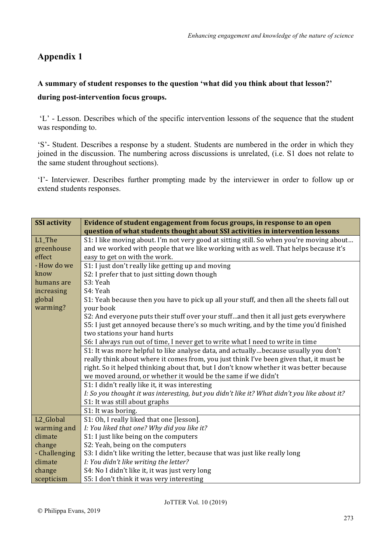# **Appendix 1**

# **A summary of student responses to the question 'what did you think about that lesson?' during post-intervention focus groups.**

'L' - Lesson. Describes which of the specific intervention lessons of the sequence that the student was responding to.

'S'- Student. Describes a response by a student. Students are numbered in the order in which they joined in the discussion. The numbering across discussions is unrelated, (i.e. S1 does not relate to the same student throughout sections).

'I'- Interviewer. Describes further prompting made by the interviewer in order to follow up or extend students responses.

| <b>SSI</b> activity | Evidence of student engagement from focus groups, in response to an open                     |
|---------------------|----------------------------------------------------------------------------------------------|
|                     | question of what students thought about SSI activities in intervention lessons               |
| L1_The              | S1: I like moving about. I'm not very good at sitting still. So when you're moving about     |
| greenhouse          | and we worked with people that we like working with as well. That helps because it's         |
| effect              | easy to get on with the work.                                                                |
| - How do we         | S1: I just don't really like getting up and moving                                           |
| know                | S2: I prefer that to just sitting down though                                                |
| humans are          | S3: Yeah                                                                                     |
| increasing          | S4: Yeah                                                                                     |
| global              | S1: Yeah because then you have to pick up all your stuff, and then all the sheets fall out   |
| warming?            | your book                                                                                    |
|                     | S2: And everyone puts their stuff over your stuffand then it all just gets everywhere        |
|                     | S5: I just get annoyed because there's so much writing, and by the time you'd finished       |
|                     | two stations your hand hurts                                                                 |
|                     | S6: I always run out of time, I never get to write what I need to write in time              |
|                     | S1: It was more helpful to like analyse data, and actuallybecause usually you don't          |
|                     | really think about where it comes from, you just think I've been given that, it must be      |
|                     | right. So it helped thinking about that, but I don't know whether it was better because      |
|                     | we moved around, or whether it would be the same if we didn't                                |
|                     | S1: I didn't really like it, it was interesting                                              |
|                     | I: So you thought it was interesting, but you didn't like it? What didn't you like about it? |
|                     | S1: It was still about graphs                                                                |
|                     | S1: It was boring.                                                                           |
| L2_Global           | S1: Oh, I really liked that one [lesson].                                                    |
| warming and         | I: You liked that one? Why did you like it?                                                  |
| climate             | S1: I just like being on the computers                                                       |
| change              | S2: Yeah, being on the computers                                                             |
| - Challenging       | S3: I didn't like writing the letter, because that was just like really long                 |
| climate             | I: You didn't like writing the letter?                                                       |
| change              | S4: No I didn't like it, it was just very long                                               |
| scepticism          | S5: I don't think it was very interesting                                                    |